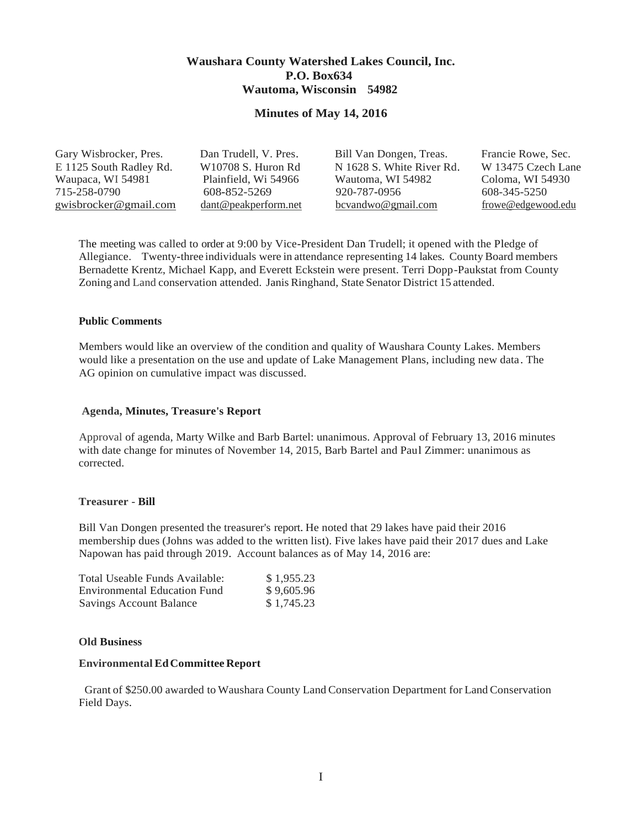## **Waushara County Watershed Lakes Council, Inc. P.O. Box634 Wautoma, Wisconsin 54982**

### **Minutes of May 14, 2016**

| Gary Wisbrocker, Pres.  | Dan Trudell, V. Pres.     | Bill Van Dongen, Treas.   | Francie Rowe, Sec. |
|-------------------------|---------------------------|---------------------------|--------------------|
| E 1125 South Radley Rd. | W10708 S. Huron Rd        | N 1628 S. White River Rd. | W 13475 Czech Lane |
| Waupaca, WI 54981       | Plainfield, Wi 54966      | Wautoma, WI 54982         | Coloma, WI 54930   |
| 715-258-0790            | 608-852-5269              | 920-787-0956              | 608-345-5250       |
| gwisbrocker@gmail.com   | $d$ ant @ peakperform.net | $bc$ vandwo@gmail.com     | frowe@edgewood.edu |

The meeting was called to order at 9:00 by Vice-President Dan Trudell; it opened with the Pledge of Allegiance. Twenty-three individuals were in attendance representing 14 lakes. County Board members Bernadette Krentz, Michael Kapp, and Everett Eckstein were present. Terri Dopp-Paukstat from County Zoning and Land conservation attended. Janis Ringhand, State Senator District 15 attended.

#### **Public Comments**

Members would like an overview of the condition and quality of Waushara County Lakes. Members would like a presentation on the use and update of Lake Management Plans, including new data. The AG opinion on cumulative impact was discussed.

#### **Agenda, Minutes, Treasure's Report**

Approval of agenda, Marty Wilke and Barb Bartel: unanimous. Approval of February 13, 2016 minutes with date change for minutes of November 14, 2015, Barb Bartel and Paul Zimmer: unanimous as corrected.

#### **Treasurer** - **Bill**

Bill Van Dongen presented the treasurer's report. He noted that 29 lakes have paid their 2016 membership dues (Johns was added to the written list). Five lakes have paid their 2017 dues and Lake Napowan has paid through 2019. Account balances as of May 14, 2016 are:

| Total Useable Funds Available:      | \$1,955.23 |
|-------------------------------------|------------|
| <b>Environmental Education Fund</b> | \$9,605.96 |
| <b>Savings Account Balance</b>      | \$1,745.23 |

#### **Old Business**

#### **Environmental EdCommittee Report**

Grant of \$250.00 awarded to Waushara County Land Conservation Department for Land Conservation Field Days.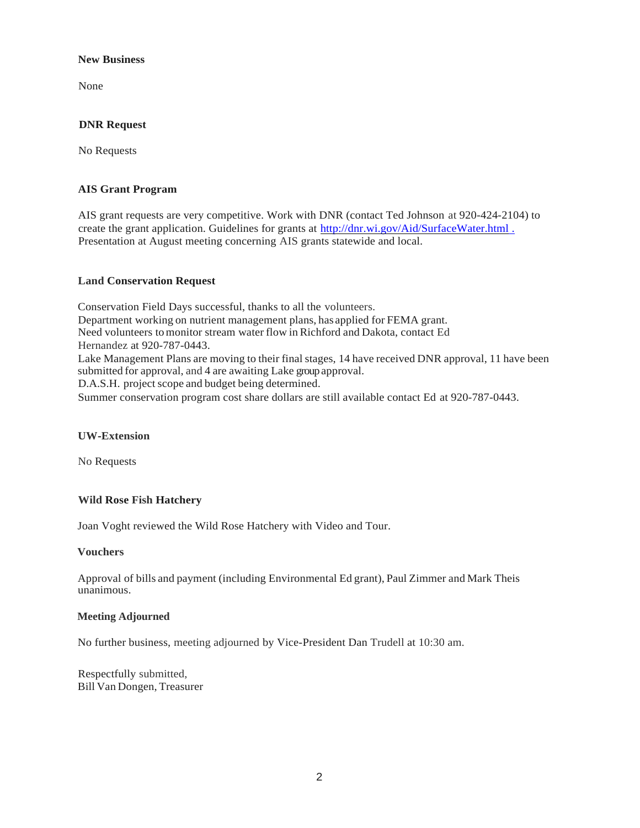#### **New Business**

None

## **DNR Request**

No Requests

## **AIS Grant Program**

AIS grant requests are very competitive. Work with DNR (contact Ted Johnson at 920-424-2104) to create the grant application. Guidelines for grants at [http://dnr.wi.gov/Aid/SurfaceWater.html](http://dnr.wi.gov/Aid/SurfaceWater.html%20.) . Presentation at August meeting concerning AIS grants statewide and local.

### **Land Conservation Request**

Conservation Field Days successful, thanks to all the volunteers. Department working on nutrient management plans, has applied for FEMA grant. Need volunteers tomonitor stream water flow inRichford and Dakota, contact Ed Hernandez at 920-787-0443. Lake Management Plans are moving to their final stages, 14 have received DNR approval, 11 have been submitted for approval, and 4 are awaiting Lake group approval. D.A.S.H. project scope and budget being determined. Summer conservation program cost share dollars are still available contact Ed at 920-787-0443.

### **UW-Extension**

No Requests

## **Wild Rose Fish Hatchery**

Joan Voght reviewed the Wild Rose Hatchery with Video and Tour.

#### **Vouchers**

Approval of bills and payment (including Environmental Ed grant), Paul Zimmer and Mark Theis unanimous.

### **Meeting Adjourned**

No further business, meeting adjourned by Vice-President Dan Trudell at 10:30 am.

Respectfully submitted, Bill Van Dongen, Treasurer